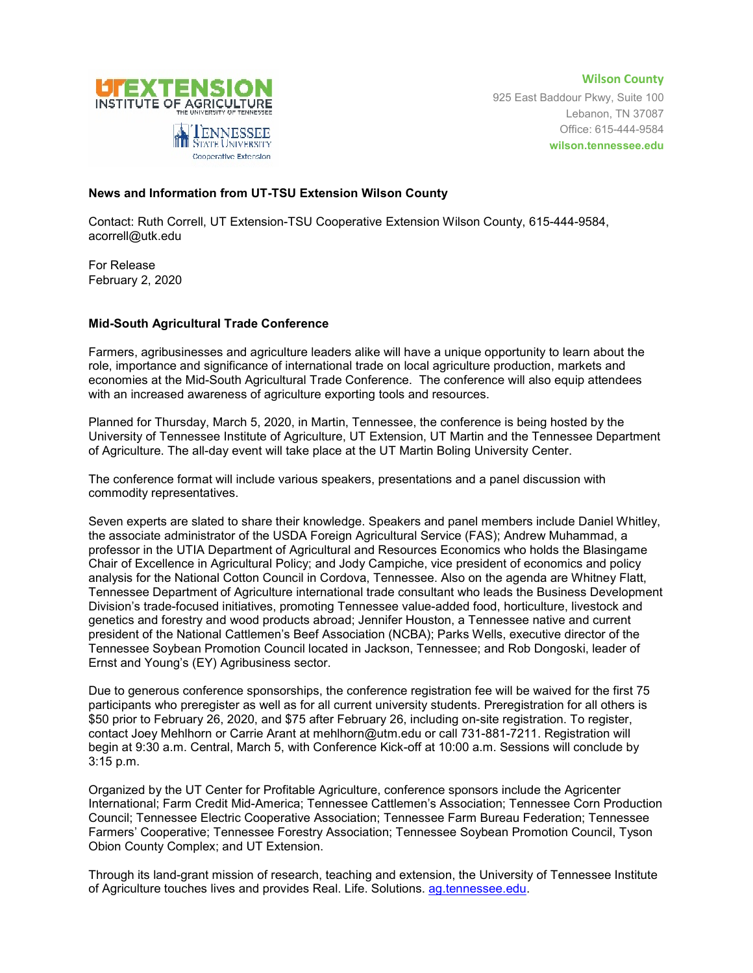

**Wilson County** 925 East Baddour Pkwy, Suite 100 Lebanon, TN 37087 Office: 615-444-9584 **wilson.tennessee.edu**

## **News and Information from UT-TSU Extension Wilson County**

Contact: Ruth Correll, UT Extension-TSU Cooperative Extension Wilson County, 615-444-9584, acorrell@utk.edu

For Release February 2, 2020

## **Mid-South Agricultural Trade Conference**

Farmers, agribusinesses and agriculture leaders alike will have a unique opportunity to learn about the role, importance and significance of international trade on local agriculture production, markets and economies at the Mid-South Agricultural Trade Conference. The conference will also equip attendees with an increased awareness of agriculture exporting tools and resources.

Planned for Thursday, March 5, 2020, in Martin, Tennessee, the conference is being hosted by the University of Tennessee Institute of Agriculture, UT Extension, UT Martin and the Tennessee Department of Agriculture. The all-day event will take place at the UT Martin Boling University Center.

The conference format will include various speakers, presentations and a panel discussion with commodity representatives.

Seven experts are slated to share their knowledge. Speakers and panel members include Daniel Whitley, the associate administrator of the USDA Foreign Agricultural Service (FAS); Andrew Muhammad, a professor in the UTIA Department of Agricultural and Resources Economics who holds the Blasingame Chair of Excellence in Agricultural Policy; and Jody Campiche, vice president of economics and policy analysis for the National Cotton Council in Cordova, Tennessee. Also on the agenda are Whitney Flatt, Tennessee Department of Agriculture international trade consultant who leads the Business Development Division's trade-focused initiatives, promoting Tennessee value-added food, horticulture, livestock and genetics and forestry and wood products abroad; Jennifer Houston, a Tennessee native and current president of the National Cattlemen's Beef Association (NCBA); Parks Wells, executive director of the Tennessee Soybean Promotion Council located in Jackson, Tennessee; and Rob Dongoski, leader of Ernst and Young's (EY) Agribusiness sector.

Due to generous conference sponsorships, the conference registration fee will be waived for the first 75 participants who preregister as well as for all current university students. Preregistration for all others is \$50 prior to February 26, 2020, and \$75 after February 26, including on-site registration. To register, contact Joey Mehlhorn or Carrie Arant at mehlhorn@utm.edu or call 731-881-7211. Registration will begin at 9:30 a.m. Central, March 5, with Conference Kick-off at 10:00 a.m. Sessions will conclude by 3:15 p.m.

Organized by the UT Center for Profitable Agriculture, conference sponsors include the Agricenter International; Farm Credit Mid-America; Tennessee Cattlemen's Association; Tennessee Corn Production Council; Tennessee Electric Cooperative Association; Tennessee Farm Bureau Federation; Tennessee Farmers' Cooperative; Tennessee Forestry Association; Tennessee Soybean Promotion Council, Tyson Obion County Complex; and UT Extension.

Through its land-grant mission of research, teaching and extension, the University of Tennessee Institute of Agriculture touches lives and provides Real. Life. Solutions. [ag.tennessee.edu.](http://ag.tennessee.edu/)